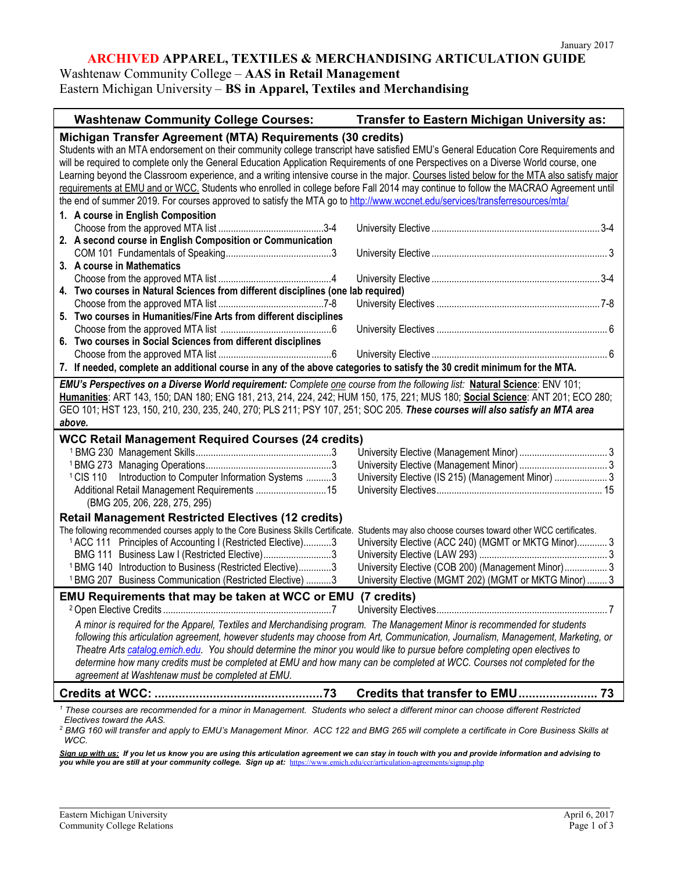### **ARCHIVED APPAREL, TEXTILES & MERCHANDISING ARTICULATION GUIDE**

### Washtenaw Community College – **AAS in Retail Management**

Eastern Michigan University – **BS in Apparel, Textiles and Merchandising**

| <b>Washtenaw Community College Courses:</b>                                                                                                                                                                                                                  | Transfer to Eastern Michigan University as:                     |  |
|--------------------------------------------------------------------------------------------------------------------------------------------------------------------------------------------------------------------------------------------------------------|-----------------------------------------------------------------|--|
| Michigan Transfer Agreement (MTA) Requirements (30 credits)                                                                                                                                                                                                  |                                                                 |  |
| Students with an MTA endorsement on their community college transcript have satisfied EMU's General Education Core Requirements and                                                                                                                          |                                                                 |  |
| will be required to complete only the General Education Application Requirements of one Perspectives on a Diverse World course, one                                                                                                                          |                                                                 |  |
| Learning beyond the Classroom experience, and a writing intensive course in the major. Courses listed below for the MTA also satisfy major                                                                                                                   |                                                                 |  |
| requirements at EMU and or WCC. Students who enrolled in college before Fall 2014 may continue to follow the MACRAO Agreement until                                                                                                                          |                                                                 |  |
| the end of summer 2019. For courses approved to satisfy the MTA go to http://www.wccnet.edu/services/transferresources/mta/                                                                                                                                  |                                                                 |  |
| 1. A course in English Composition                                                                                                                                                                                                                           |                                                                 |  |
|                                                                                                                                                                                                                                                              |                                                                 |  |
| 2. A second course in English Composition or Communication                                                                                                                                                                                                   |                                                                 |  |
|                                                                                                                                                                                                                                                              |                                                                 |  |
| 3. A course in Mathematics                                                                                                                                                                                                                                   |                                                                 |  |
|                                                                                                                                                                                                                                                              |                                                                 |  |
| 4. Two courses in Natural Sciences from different disciplines (one lab required)                                                                                                                                                                             |                                                                 |  |
| 5. Two courses in Humanities/Fine Arts from different disciplines                                                                                                                                                                                            |                                                                 |  |
|                                                                                                                                                                                                                                                              |                                                                 |  |
| 6. Two courses in Social Sciences from different disciplines                                                                                                                                                                                                 |                                                                 |  |
|                                                                                                                                                                                                                                                              |                                                                 |  |
| 7. If needed, complete an additional course in any of the above categories to satisfy the 30 credit minimum for the MTA.                                                                                                                                     |                                                                 |  |
|                                                                                                                                                                                                                                                              |                                                                 |  |
| EMU's Perspectives on a Diverse World requirement: Complete one course from the following list: Natural Science: ENV 101;                                                                                                                                    |                                                                 |  |
| Humanities: ART 143, 150; DAN 180; ENG 181, 213, 214, 224, 242; HUM 150, 175, 221; MUS 180; Social Science: ANT 201; ECO 280;<br>GEO 101; HST 123, 150, 210, 230, 235, 240, 270; PLS 211; PSY 107, 251; SOC 205. These courses will also satisfy an MTA area |                                                                 |  |
| above.                                                                                                                                                                                                                                                       |                                                                 |  |
|                                                                                                                                                                                                                                                              |                                                                 |  |
| WCC Retail Management Required Courses (24 credits)                                                                                                                                                                                                          |                                                                 |  |
|                                                                                                                                                                                                                                                              |                                                                 |  |
|                                                                                                                                                                                                                                                              |                                                                 |  |
| Introduction to Computer Information Systems 3<br><sup>1</sup> CIS 110                                                                                                                                                                                       | University Elective (IS 215) (Management Minor)  3              |  |
| (BMG 205, 206, 228, 275, 295)                                                                                                                                                                                                                                |                                                                 |  |
|                                                                                                                                                                                                                                                              |                                                                 |  |
| <b>Retail Management Restricted Electives (12 credits)</b><br>The following recommended courses apply to the Core Business Skills Certificate.                                                                                                               | Students may also choose courses toward other WCC certificates. |  |
| <sup>1</sup> ACC 111 Principles of Accounting I (Restricted Elective)3                                                                                                                                                                                       | University Elective (ACC 240) (MGMT or MKTG Minor) 3            |  |
| BMG 111 Business Law I (Restricted Elective)3                                                                                                                                                                                                                |                                                                 |  |
| <sup>1</sup> BMG 140 Introduction to Business (Restricted Elective)3                                                                                                                                                                                         | University Elective (COB 200) (Management Minor) 3              |  |
| <sup>1</sup> BMG 207 Business Communication (Restricted Elective) 3                                                                                                                                                                                          | University Elective (MGMT 202) (MGMT or MKTG Minor)  3          |  |
|                                                                                                                                                                                                                                                              |                                                                 |  |
| EMU Requirements that may be taken at WCC or EMU (7 credits)                                                                                                                                                                                                 |                                                                 |  |
|                                                                                                                                                                                                                                                              |                                                                 |  |
| A minor is required for the Apparel, Textiles and Merchandising program. The Management Minor is recommended for students                                                                                                                                    |                                                                 |  |
| following this articulation agreement, however students may choose from Art, Communication, Journalism, Management, Marketing, or                                                                                                                            |                                                                 |  |
| Theatre Arts catalog.emich.edu. You should determine the minor you would like to pursue before completing open electives to                                                                                                                                  |                                                                 |  |
| determine how many credits must be completed at EMU and how many can be completed at WCC. Courses not completed for the                                                                                                                                      |                                                                 |  |
| agreement at Washtenaw must be completed at EMU.                                                                                                                                                                                                             |                                                                 |  |
|                                                                                                                                                                                                                                                              |                                                                 |  |
| <sup>1</sup> These courses are recommended for a minor in Management. Students who select a different minor can choose different Restricted<br>Electives toward the AAS.                                                                                     |                                                                 |  |

*<sup>2</sup> BMG 160 will transfer and apply to EMU's Management Minor. ACC 122 and BMG 265 will complete a certificate in Core Business Skills at WCC.* 

<u>Sign up with us:</u> If you let us know you are using this articulation agreement we can stay in touch with you and provide information and advising to<br>you while you are still at your community college. Sign up at: <u>https://</u>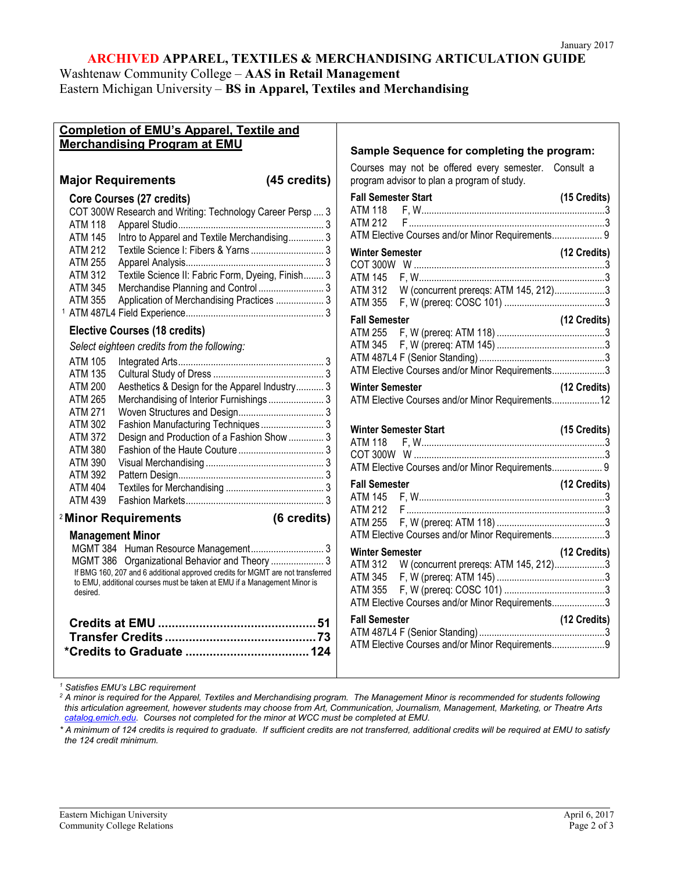# **ARCHIVED APPAREL, TEXTILES & MERCHANDISING ARTICULATION GUIDE**

Washtenaw Community College – **AAS in Retail Management**

Eastern Michigan University – **BS in Apparel, Textiles and Merchandising**

| <b>Completion of EMU's Apparel, Textile and</b>                                                                                                                                                                                                                                   |                                                                                                                                                                                                                                                                                                                                                                                                                 |                                              |
|-----------------------------------------------------------------------------------------------------------------------------------------------------------------------------------------------------------------------------------------------------------------------------------|-----------------------------------------------------------------------------------------------------------------------------------------------------------------------------------------------------------------------------------------------------------------------------------------------------------------------------------------------------------------------------------------------------------------|----------------------------------------------|
| Merchandising Program at EMU                                                                                                                                                                                                                                                      | Sample Sequence for completing the program:                                                                                                                                                                                                                                                                                                                                                                     |                                              |
|                                                                                                                                                                                                                                                                                   |                                                                                                                                                                                                                                                                                                                                                                                                                 |                                              |
|                                                                                                                                                                                                                                                                                   | Courses may not be offered every semester. Consult a                                                                                                                                                                                                                                                                                                                                                            |                                              |
| (45 credits)<br><b>Major Requirements</b>                                                                                                                                                                                                                                         | program advisor to plan a program of study.                                                                                                                                                                                                                                                                                                                                                                     |                                              |
| Core Courses (27 credits)                                                                                                                                                                                                                                                         | <b>Fall Semester Start</b>                                                                                                                                                                                                                                                                                                                                                                                      | (15 Credits)                                 |
| COT 300W Research and Writing: Technology Career Persp  3                                                                                                                                                                                                                         |                                                                                                                                                                                                                                                                                                                                                                                                                 |                                              |
| ATM 118                                                                                                                                                                                                                                                                           |                                                                                                                                                                                                                                                                                                                                                                                                                 |                                              |
| Intro to Apparel and Textile Merchandising 3<br><b>ATM 145</b>                                                                                                                                                                                                                    | ATM Elective Courses and/or Minor Requirements 9                                                                                                                                                                                                                                                                                                                                                                |                                              |
| <b>ATM 212</b><br>Textile Science I: Fibers & Yarns  3                                                                                                                                                                                                                            | <b>Winter Semester</b>                                                                                                                                                                                                                                                                                                                                                                                          | (12 Credits)                                 |
| <b>ATM 255</b>                                                                                                                                                                                                                                                                    |                                                                                                                                                                                                                                                                                                                                                                                                                 |                                              |
| <b>ATM 312</b><br>Textile Science II: Fabric Form, Dyeing, Finish 3                                                                                                                                                                                                               | ATM 145                                                                                                                                                                                                                                                                                                                                                                                                         |                                              |
| <b>ATM 345</b>                                                                                                                                                                                                                                                                    | W (concurrent prereqs: ATM 145, 212)3<br><b>ATM 312</b>                                                                                                                                                                                                                                                                                                                                                         |                                              |
| Application of Merchandising Practices  3<br><b>ATM 355</b>                                                                                                                                                                                                                       | ATM 355                                                                                                                                                                                                                                                                                                                                                                                                         |                                              |
|                                                                                                                                                                                                                                                                                   | <b>Fall Semester</b>                                                                                                                                                                                                                                                                                                                                                                                            | (12 Credits)                                 |
| <b>Elective Courses (18 credits)</b>                                                                                                                                                                                                                                              | ATM 255                                                                                                                                                                                                                                                                                                                                                                                                         |                                              |
| Select eighteen credits from the following:                                                                                                                                                                                                                                       | ATM 345                                                                                                                                                                                                                                                                                                                                                                                                         |                                              |
| <b>ATM 105</b>                                                                                                                                                                                                                                                                    |                                                                                                                                                                                                                                                                                                                                                                                                                 |                                              |
| <b>ATM 135</b>                                                                                                                                                                                                                                                                    | ATM Elective Courses and/or Minor Requirements3                                                                                                                                                                                                                                                                                                                                                                 |                                              |
| <b>ATM 200</b><br>Aesthetics & Design for the Apparel Industry 3                                                                                                                                                                                                                  | <b>Winter Semester</b>                                                                                                                                                                                                                                                                                                                                                                                          | (12 Credits)                                 |
| Merchandising of Interior Furnishings 3<br><b>ATM 265</b>                                                                                                                                                                                                                         | ATM Elective Courses and/or Minor Requirements12                                                                                                                                                                                                                                                                                                                                                                |                                              |
| <b>ATM 271</b>                                                                                                                                                                                                                                                                    |                                                                                                                                                                                                                                                                                                                                                                                                                 |                                              |
| <b>ATM 302</b>                                                                                                                                                                                                                                                                    | <b>Winter Semester Start</b>                                                                                                                                                                                                                                                                                                                                                                                    | (15 Credits)                                 |
| <b>ATM 372</b><br>Design and Production of a Fashion Show  3                                                                                                                                                                                                                      | ATM 118                                                                                                                                                                                                                                                                                                                                                                                                         |                                              |
| <b>ATM 380</b>                                                                                                                                                                                                                                                                    |                                                                                                                                                                                                                                                                                                                                                                                                                 |                                              |
|                                                                                                                                                                                                                                                                                   |                                                                                                                                                                                                                                                                                                                                                                                                                 |                                              |
|                                                                                                                                                                                                                                                                                   |                                                                                                                                                                                                                                                                                                                                                                                                                 |                                              |
|                                                                                                                                                                                                                                                                                   |                                                                                                                                                                                                                                                                                                                                                                                                                 |                                              |
|                                                                                                                                                                                                                                                                                   |                                                                                                                                                                                                                                                                                                                                                                                                                 |                                              |
| <sup>2</sup> Minor Requirements<br>(6 credits)                                                                                                                                                                                                                                    |                                                                                                                                                                                                                                                                                                                                                                                                                 |                                              |
|                                                                                                                                                                                                                                                                                   |                                                                                                                                                                                                                                                                                                                                                                                                                 |                                              |
|                                                                                                                                                                                                                                                                                   |                                                                                                                                                                                                                                                                                                                                                                                                                 |                                              |
|                                                                                                                                                                                                                                                                                   |                                                                                                                                                                                                                                                                                                                                                                                                                 |                                              |
| If BMG 160, 207 and 6 additional approved credits for MGMT are not transferred                                                                                                                                                                                                    |                                                                                                                                                                                                                                                                                                                                                                                                                 |                                              |
|                                                                                                                                                                                                                                                                                   |                                                                                                                                                                                                                                                                                                                                                                                                                 |                                              |
|                                                                                                                                                                                                                                                                                   |                                                                                                                                                                                                                                                                                                                                                                                                                 |                                              |
|                                                                                                                                                                                                                                                                                   |                                                                                                                                                                                                                                                                                                                                                                                                                 |                                              |
|                                                                                                                                                                                                                                                                                   |                                                                                                                                                                                                                                                                                                                                                                                                                 |                                              |
|                                                                                                                                                                                                                                                                                   |                                                                                                                                                                                                                                                                                                                                                                                                                 |                                              |
|                                                                                                                                                                                                                                                                                   |                                                                                                                                                                                                                                                                                                                                                                                                                 |                                              |
|                                                                                                                                                                                                                                                                                   |                                                                                                                                                                                                                                                                                                                                                                                                                 |                                              |
| <b>ATM 390</b><br><b>ATM 392</b><br><b>ATM 404</b><br><b>ATM 439</b><br><b>Management Minor</b><br>MGMT 384 Human Resource Management 3<br>MGMT 386 Organizational Behavior and Theory  3<br>to EMU, additional courses must be taken at EMU if a Management Minor is<br>desired. | ATM Elective Courses and/or Minor Requirements 9<br><b>Fall Semester</b><br>ATM 145<br><b>ATM 255</b><br>ATM Elective Courses and/or Minor Requirements3<br><b>Winter Semester</b><br>W (concurrent prereqs: ATM 145, 212)3<br><b>ATM 312</b><br><b>ATM 345</b><br><b>ATM 355</b><br>ATM Elective Courses and/or Minor Requirements3<br><b>Fall Semester</b><br>ATM Elective Courses and/or Minor Requirements9 | (12 Credits)<br>(12 Credits)<br>(12 Credits) |

*<sup>1</sup> Satisfies EMU's LBC requirement*

*<sup>2</sup> A minor is required for the Apparel, Textiles and Merchandising program. The Management Minor is recommended for students following this articulation agreement, however students may choose from Art, Communication, Journalism, Management, Marketing, or Theatre Arts catalog.emich.edu. Courses not completed for the minor at WCC must be completed at EMU.*

*\* A minimum of 124 credits is required to graduate. If sufficient credits are not transferred, additional credits will be required at EMU to satisfy the 124 credit minimum.*